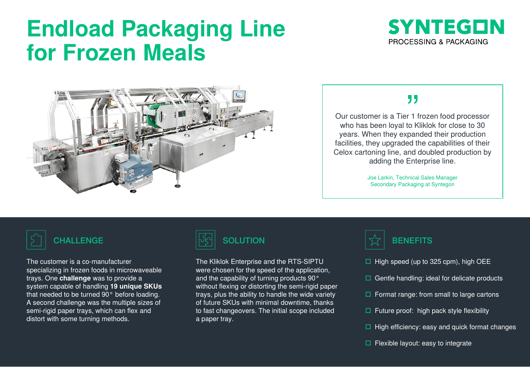# **Endload Packaging Line for Frozen Meals**





## ,,

Our customer is a Tier 1 frozen food processor who has been loyal to Kliklok for close to 30 years. When they expanded their production facilities, they upgraded the capabilities of their Celox cartoning line, and doubled production by adding the Enterprise line.

> Joe Larkin, Technical Sales Manager Secondary Packaging at Syntegon

The customer is a co-manufacturer specializing in frozen foods in microwaveable trays. One **challenge** was to provide a system capable of handling **19 unique SKUs**  that needed to be turned 90° before loading. A second challenge was the multiple sizes of semi-rigid paper trays, which can flex and distort with some turning methods.



The Kliklok Enterprise and the RTS-SIPTU were chosen for the speed of the application, and the capability of turning products 90° without flexing or distorting the semi-rigid paper trays, plus the ability to handle the wide variety of future SKUs with minimal downtime, thanks to fast changeovers. The initial scope included a paper tray.



- $\Box$  High speed (up to 325 cpm), high OEE
- $\Box$  Gentle handling: ideal for delicate products
- $\Box$  Format range: from small to large cartons
- $\Box$  Future proof: high pack style flexibility
- $\Box$  High efficiency: easy and quick format changes
- $\Box$  Flexible layout: easy to integrate